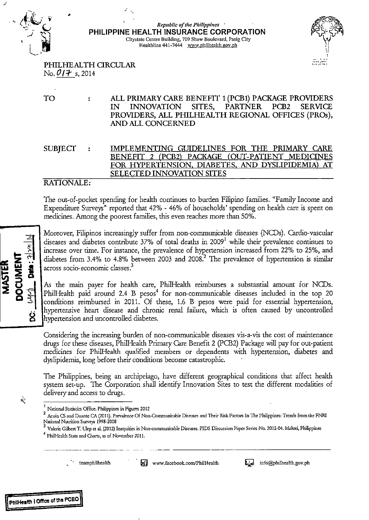

### *Republic of the Philippines* ' **PHILIPPINE HEALTH INSURANCE CORPORATION Citystate Centre Building, 709 Shaw Boulevard, Pasig City Healthline 441-7444 www.philheallh.gov.ph**



PHILHEAL TH CIRCULAR  $N_0$ .  $O/7$  s, 2014

TO ALL PRIMARY CARE BENEFIT 1 (PCB1) PACKAGE PROVIDERS  $\ddot{\cdot}$ IN INNOVATION SITES, PARTNER PCB2 SERVICE PROVIDERS, ALL PHILHEALTH REGIONAL OFFICES (PROs), AND ALL CONCERNED

SUBJECT IMPLEMENTING GUIDELINES FOR THE PRIMARY CARE BENEFIT 2 (PCB2) PACKAGE (OUT-PATIENT MEDICINES FOR HYPERTENSION, DIABETES, AND DYSLIPIDEMIA) AT SELECTED INNOVATION SITES

### RATIONALE:

The out-of-pocket spending for health continues to burden Filipino families. "Family Income and Expenditure Surveys" reported that 42% - 46% of households' spending on health care is spent on medicines. Among the poorest families, this even reaches more than 50%.

Moreover, Filipinos increasingly suffer from non-communicable diseases (NCDs). Cardio-vascular diseases and diabetes contribute 37% of total deaths in 2009<sup>1</sup> while their prevalence continues to increase over time. For instance, the prevalence of hypertension increased from 22% to 25%, and diabetes from 3.4% to 4.8% between 2003 and 2008? The prevalence of hypertension is similar across socio-economic classes?

As the main payer for health care, PhilHealth reimburses a substantial amount for NCDs. PhilHealth paid around 2.4 B pesos $^4$  for non-communicable diseases included in the top 20 conditions reimbursed in 2011. Of these, 1.6 B pesos were paid for essential hypertension, hypertensive heart disease and chronic renal failure, which is often caused by uncontrolled hypertension and uncontrolled diabetes.

Considering the increasing burden of non-communicable diseases vis-a-vis the cost of maintenance drugs for these diseases, Phi!Health Primary Care Benefit 2 (PCB2) Package will pay for out-patient medicines for Phi!Health qualified members or dependents with hypertension, diabetes and dyslipidemia, long before their conditions become catastrophic.

The Philippines, being an archipelago, have different geographical conditions that affect health system set-up. The Corporation shall identify Innovation Sites to test the different modalities of delivery and access to drugs.

Ň,

 $\text{Data}: 2^{\lfloor \gamma n \rfloor}$ 

8

**DOCUMENT** 

**MASTER** 

-------

\_ · ' **teamphilhealth** · **fin www.facebook.com/Phi!Health** l;J info@philhealth.gov.ph



<sup>1</sup>**National Statistics Office. Philippines in Figures 2012** 

<sup>2</sup> Acuin CS and Duante CA (2011). Prevalence Of Non-Communicable Diseases and Their Risk Factors In The Philippines: Trends from the FNRI **National Nutrition Surveys 1998-2008** 

<sup>&</sup>lt;sup>3</sup> Valerie Gilbert T. Ulep et al. (2012) Inequities in Non-communicable Diseases. PIDS Discussion Paper Series No. 2012-04. Makati, Philippines

<sup>4</sup>**PhilHealth Stats and Charts, as of November 2011.**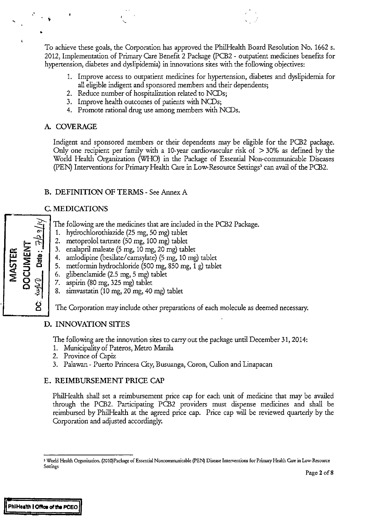To achieve these goals, the Corporation has approved the Phi!Health Board Resolution No. 1662 s. 2012, Implementation of Primary Care Benefit 2 Package (PCB2 - outpatient medicines benefits for hypertension, diabetes and dyslipidemia) in innovations sites with the following objectives:

- 1. Improve access to outpatient medicines for hypertension, diabetes and dyslipidemia for all eligible indigent and sponsored members and their dependents;
- 2. Reduce number of hospitalization related to NCDs;
- 3. Improve health outcomes of patients with NCDs;
- **4.** Promote rational drug use among members with NCDs.

### **A COVERAGE**

.·

•

Indigent and sponsored members or their dependents may be eligible for the PCB2 package. Only one recipient per family with a 10-year cardiovascular risk of  $>$  30% as defined by the World Health Organization (WHO) in the Package of Essential Non-communicable Diseases (PEN) Interventions for Primary Health Care in Low-Resource Settings' can avail of the PCB2.

### **B. DEFINITION OF TERMS-** See Annex A

### **C. MEDICATIONS**

- The following are the medicines that are included in the PCB2 Package.
- 1. hydrochlorothiazide (25 mg, 50 mg) tablet
- 2. metoprolol tartrate (50 mg, 100 mg) tablet
- 3. enalapril maleate (5 mg, 10 mg, 20 mg) tablet
- « **z** ~~ .. **LL! LL! G>**  4. amlodipine (besilate/ camsylate) (5 mg, 10 mg) tablet
	- 5. metformin hydrochloride (500 mg, 850 mg, 1 g) tablet
	- 6. glibenclamide (2.5 mg, 5 mg) tablet
	- 7. aspirin (80 mg, 325 mg) tablet
	- 8. simvastatin (10 mg, 20 mg, 40 mg) tablet

The Corporation may include other preparations of each molecule as deemed necessary.

### **D. INNOVATION SITES**

The following are the innovation sites to carry out the package until December 31, 2014:

- 1. Municipality of Pateros, Metro Manila
- 2. Province of Capiz
- 3. Palawan- Puerto Princesa Gty, Busuanga, Coron, Culion and Linapacan

### **E. REIMBURSEMENT PRICE CAP**

Phi!Health shall set a reimbursement price cap for each unit of medicine that may be availed through the PCB2. Participating PCB2 providers must dispense medicines and shall be reimbursed by Phi!Health at the agreed price cap. Price cap will be reviewed quarterly by the Corporation and adjusted accordingly.

-

t 2 s ~::Jo

 $-84$ 

**0 0** 

**<sup>5</sup> World Health Organization. (2010)Package of Essential Noncorrununicable (PEN) Disease Interventions for Primary Health Care in Low-Resource Settings**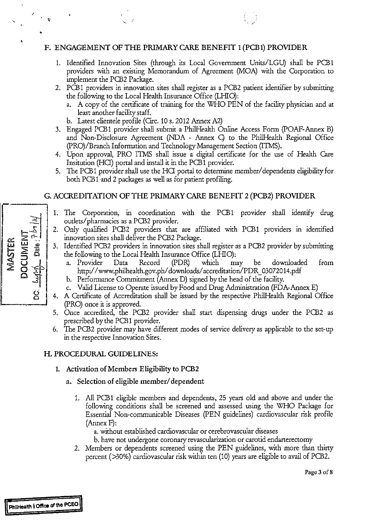### F. ENGAGEMENT OF THE PRIMARY CARE BENEFIT 1 (PCB1) PROVIDER

- 1. Identified Innovation Sites (through its Local Government Units/LGU) shall be PCB1 providers with an existing Memorandum of Agreement (MOA) with the Corporation to implement the PCB2 Package.
- 2. PCB1 providers in innovation sites shall register as a PCB2 patient identifier by submitting the following to the Local Health Insurance Office (LHIO):
	- a. A copy of the certificate of training for the WHO PEN of the facility physician and at least another facility staff.
	- b. Latest clientele profile (Circ. 10 s. 2012 Annex A2)
- 3. Engaged PCB1 provider shall submit a Phi!Health Online Access Form (POAF-Annex B) and Non-Disclosure Agreement (NDA - Annex C) to the PhilHealth Regional Office (PRO)/Branch Information and Technology Management Section (ITMS).
- 4. Upon approval, PRO ITMS shall issue a digital certificate for the use of Health Care Insitution (HCI) portal and install it in the PCB1 provider.
- 5. The PCB1 provider shall use the HCI portal to determine member/dependents eligibility for both PCB1 and 2 packages as well as for patient profiling.

### G. ACCREDITATION OF THE PRIMARY CARE BENEFIT 2 (PCB2) PROVIDER

- 1. The Corporation, in coordination with the PCB1 provider shall identify drug outlets/ pharmacies as a PCB2 provider.
- 2. Only qualified PCB2 providers that are affiliated with PCB1 providers in identified innovation sites shall deliver the PCB2 Package.
- 3. Identified PCB2 providers in innovation sites shall register as a PCB2 provider by submitting the following to the Local Health Insurance Office (LHIO):
	- a. Provider Data Record (PDR) which· may be downloaded from http://www.philhealth.gov.ph/downloads/accreditation/PDR\_03072014.pdf
	- b. Performance Commitment (Annex D) signed by the head of the facility.
	- c. Valid License to Operate issued by Food and Drug Administration (FDA-Annex E)
- 4. A Certificate of Accreditation shall be issued by the respective Phi!Health Regional Office (PRO) once it is approved.
- 5. Once accredited, the PCB2 provider shall start dispensing drugs under the PCB2 as prescribed by the PCB1 provider.
- 6. The PCB2 provider may have different modes of service delivery as applicable to the set-up in the respective Innovation Sites.

### H. PROCEDURAL GUIDELINES:

- 1. Activation of Members Eligibility to PCB2
	- a. Selection of eligible member/ dependent
		- L All PCB1 eligible members and dependents, 25 years old and above and under the following conditions shall be screened and assessed using the WHO Package for Essential Non-communicable Diseases (PEN guidelines) cardiovascular risk profile (Annex F):

a. without established cardiovascular or cerebrovascular diseases

- b. have not undergone coronary revascularization or carotid endarterectomy
- 2. Members or dependents screened using the PEN guidelines, with more than thirty percent (>30%) cardiovascular risk within ten (10) years are eligible to avail of PCB2.



,•

Page 3 of 8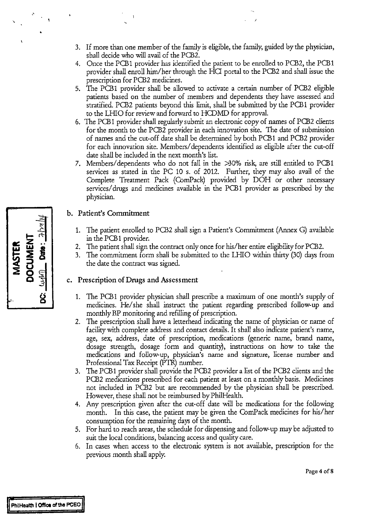- 3. If more than one member of the family is eligible, the family, guided by the physician, shall decide who will avail of the PCB2.
- 4. Once the PCBl provider has identified the patient to be enrolled to PCB2, the PCBl provider shall enroll him/her through the HQ portal to the PCB2 and shall issue the prescription for PCB2 medicines.
- 5. The PCB1 provider shall be allowed to activate a certain number of PCB2 eligible patients based on the number of members and dependents they have assessed and stratified. PCB2 patients beyond this limit, shall be submitted by the PCB1 provider to the LHIO for review and forward to HCDMD for approval.
- 6. The PCB1 provider shall regularly submit an electronic copy of names of PCB2 clients for the month to the PCB2 provider in each innovation site. The date of submission of names and the cut-off date shall be determined by both PCB1 and PCB2 provider for each innovation site. Members/ dependents identified as eligible after the cut-off date shall be included in the next month's list.
- 7. Members/ dependents who do not fall in the >30% risk, are still entitled to PCB1 services as stated in the PC 10 s. of 2012. Further, they may also avail of the Complete Treatment Pack (ComPack) provided by DOH or other necessary services/drugs and medicines available in the PCB1 provider as prescribed by the physician.

### b. Patient's Commitment

- 1. The patient enrolled to PCB2 shall sign a Patient's Commitment (Annex G) available in the PCB1 provider.
- 2. The patient shall sign the contract only once for his/her entire eligibility for PCB2.
- 3. The commitment form shall be submitted to the LHIO within thirty (30) days from the date the contract was signed.

### c. Prescription of Drugs and Assessment

- 1. The PCB1 provider physician shall prescribe a maximum of one month's supply of medicines. He/she shall instruct the patient regarding prescribed follow-up and monthly BP monitoring and refilling of prescription.
- 2. The prescription shall have a letterhead indicating the name of physician or name of facility with complete address and contact details. It shall also indicate patient's name, age, sex, address, date of prescription, medications (generic name, brand name, dosage strength, dosage form and quantity), instructions on how to take the medications and follow-up, physician's name and signature, license number and Professional Tax Receipt (PTR) number.
- 3. The PCBl provider shall provide the PCB2 provider a list of the PCB2 clients and the PCB2 medications prescribed for each patient at least on a monthly basis. Medicines not included in PCB2 but are recommended by the physician shall be prescribed. However, these shall not be reimbursed by PhilHealth.
- 4. Any prescription given after the cut-off date will be medications for the following month. In this case, the patient may be given the ComPack medicines for his/her consumption for the remaining days of the month.
- 5. For hard to reach areas, the schedule for dispensing and follow-up may be adjusted to suit the local conditions, balancing access and quality care.
- 6. In cases when access to the electronic system is not available, prescription for the previous month shall apply.

| <b>MASTER</b> | 州以上<br>DOCUMENT<br>Cate: |  |
|---------------|--------------------------|--|
|               | <b>THM</b>               |  |
|               | .<br>8                   |  |

.·

•

Page 4 of 8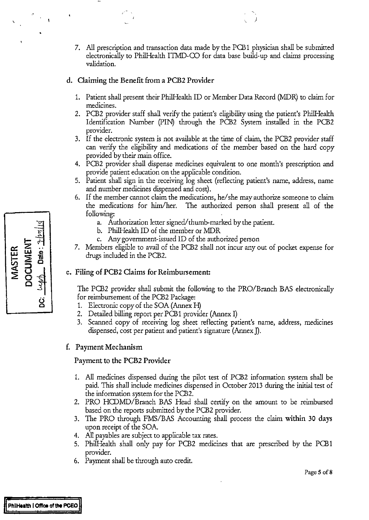7. All prescription and transaction data made by the PCB1 physician shall be submitted electronically to Phi!Health ITMD-CO for data base build-up and claims processing validation.

)

### d. Claiming the Benefit from a PCB2 Provider

- 1. Patient shall present their Phi!Health ID or Member Data Record (MDR) to claim for medicines.
- 2. PCB2 provider staff shall verify the patient's eligibility using the patient's Phi!Health Identification Number (PIN) through the PCB2 System installed in the PCB2 provider.
- 3. If the electronic system is not available at the time of claim, the PCB2 provider staff can verify the eligibility and medications of the member based on the hard copy provided by their main office.
- 4. PCB2 provider shall dispense medicines equivalent to one month's prescription and provide patient education on the applicable condition.
- 5. Patient shall sign in the receiving log sheet (reflecting patient's name, address, name and number medicines dispensed and cost).
- 6. If the member cannot claim the medications, he/ she may authorize someone to claim the medications for him/her. The authorized person shall present all of the following:
	- a. Authorization letter signed/thumb-marked by the patient.
	- b. Phi!Health ID of the member or MDR
	- c. Any government-issued ID of the authorized person
- 7. Members eligible to avail of the PCB2 shall not incur any out of pocket expense for drugs included in the PCB2.

### e. Filing of PCB2 Claims for Reimbursement:

The PCB2 provider shall submit the following to the PRO/Branch BAS electronically for reimbursement of the PCB2 Package:

- 1. Electronic copy of the SOA (Annex H)
- 2. Detailed billing report per PCB1 provider (Annex I)
- 3. Scanned copy of receiving log sheet reflecting patient's name, address, medicines dispensed, cost per patient and patient's signature (Annex J).

### f. Payment Mechanism

### Payment to the PCB2 Provider

- 1. All medicines dispensed during the pilot test of PCB2 information system shall be paid. This shall include medicines dispensed in October 2013 during the initial test of the information system for the PCB2.
- 2. PRO HCDMD/Branch BAS Head shall certify on the amount to be reimbursed based on the reports submitted by the PCB2 provider.
- 3. The PRO through FMS/BAS Accounting shall process the claim within 30 days upon receipt of the SOA
- 4. All payables are subject to applicable tax rates.
- 5. Phi!Health shall only pay for PCB2 medicines that are prescribed by the PCB 1 provider.
- 6. Payment shall be through auto credit.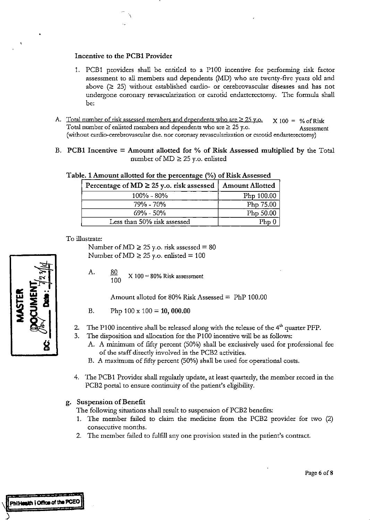### Incentive to the PCB1 Provider

\

- 1. PCB1 providers shall be entided to a P100 incentive for performing risk factor assessment to all members and dependents (MD) who are twenty-five years old and above  $(2 25)$  without established cardio- or cerebrovascular diseases and has not undergone coronary revascularization or carotid endarterectomy. The formula shall be:
- A. Total number of risk assessed members and dependents who are  $\geq$  25 y.o.  $\times$  100 = % of Risk Total number of enlisted members and dependents who are  $\geq$  25 y.o. Assessment (without cardio-cerebrovascular dse. nor coronary revascularization or carotid endarterectomy)
- B. PCB1 Incentive = Amount allotted for % of Risk Assessed multiplied by the Total number of  $MD \ge 25$  y.o. enlisted

| Percentage of $MD \ge 25$ y.o. risk assessed | <b>Amount Allotted</b> |
|----------------------------------------------|------------------------|
| $100\% - 80\%$                               | Php 100.00             |
| 79% - 70%                                    | Php 75.00              |
| $69\% - 50\%$                                | Php 50.00              |
| Less than 50% risk assessed                  | $D_{\rm hh}$           |

### Table. 1 Amount allotted for the percentage (%) of Risk Assessed

### To illustrate:

Number of MD  $\geq$  25 y.o. risk assessed = 80 Number of  $MD \ge 25$  y.o. enlisted = 100

A. 80 100  $X 100 = 80\%$  Risk assessment

Amount alloted for 80% Risk Assessed= PhP 100.00

- B. Php  $100 \times 100 = 10,000.00$
- 2. The P100 incentive shall be released along with the release of the 4<sup>th</sup> quarter PFP.
- 3. The disposition and allocation for the P100 incentive will be as follows:
	- A. A minimum of fifty percent (50%) shall be exclusively used for professional fee of the staff direcdy involved in the PCB2 activities.
	- B. A maximum of fifty percent (50%) shall be used for operational costs.
- 4. The PCB1 Provider shall regularly update, at least quarterly, the member record in the PCB2 portal to ensure continuity of the patient's eligibility.

### g. Suspension of Benefit

The following situations shall result to suspension of PCB2 benefits:

- 1. The member failed to claim the medicine from the PCB2 provider for two (2) consecutive months.
- 2. The member failed to fulfill any one provision stated in the patient's contract.



*)*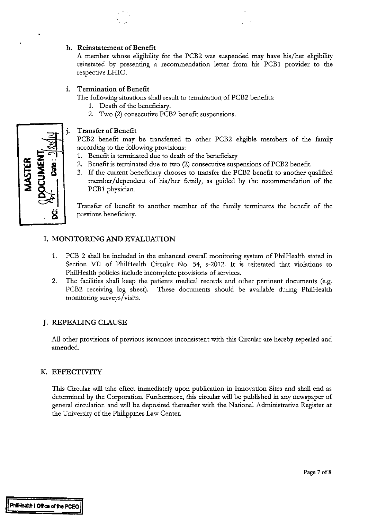### **h. Reinstatement of Benefit**

A member whose eligibility for the PCB2 was suspended may have his/her eligibility reinstated by presenting a recommendation letter from his PCB1 provider to the respective LHIO.

### **i. Termination of Benefit**

The following situations shall result to termination of PCB2 benefits:

- 1. Death of the beneficiary.
- 2. Two (2) consecutive PCB2 benefit suspensions.

### **Transfer of Benefit**

PCB2 benefit may be transferred to other PCB2 eligible members of the family according to the following provisions:

- 1. Benefit is terminated due to death of the beneficiary
- 2. Benefit is terminated due to two (2) consecutive suspensions of PCB2 benefit.
- 3. If the current beneficiary chooses to transfer the PCB2 benefit to another qualified member/ dependent of his/her family, as guided by the recommendation of the PCB1 physician.

Transfer of benefit to another member of the family terminates the benefit of the previous beneficiary.

### **I. MONITORING AND EVALUATION**

- 1. PCB 2 shall be included in the enhanced overall monitoring system of PhilHealth stated in Section VII of PhilHealth Circular No. 54, s-2012. It is reiterated that violations to PhilHealth policies include incomplete provisions of services.
- 2. The facilities shall keep the patients medical records and other pertinent documents (e.g. PCB2 receiving log sheet). These documents should be available during PhilHealth monitoring surveys/visits.

### **J. REPEALING CLAUSE**

All other provisions of previous issuances inconsistent with this Circular are hereby repealed and amended.

### **K. EFFECTIVITY**

This Circular will take effect immediately upon publication in Innovation Sites and shall end as determined by the Corporation. Furthermore, this circular will be published in any newspaper of general circulation and will be deposited thereafter with the National Administrative Register at the University of the Philippines Law Center.

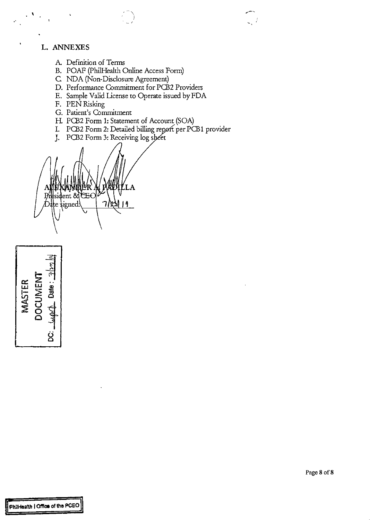### **L. ANNEXES**

 $\ddot{\phantom{0}}$ 

 $\overline{1}$ 

- A Definition of Terms
- B. POAF (Phi!Health Online Access Form)
- C NDA (Non-Disclosure Agreement)
- D. Performance Commitment for PCB2 Providers

 $\ddot{\phantom{0}}$  -  $\dot{\phantom{0}}$ 

- E. Sample Valid License to Operate issued by FDA
- F. PEN Risking
- G. Patient's Commitment
- H. PCB2 Form 1: Statement of Account (SOA)
- I. PCB2 Form 2: Detailed billing report per PCB1 provider
- J. PCB2 Form 3: Receiving log sheet

lent 8d ገለአ  $\frac{1}{2}$ igned:

르 ~~ **z** .. **UJ** "' oo- **<sup>2</sup> a:: u.J 1- V)**   $\leqq$  ក្ដី  $\mathbf{z}$ 1 **0000**<br>شهیف : 00<br>با ههیف : 00 ~ **0 0**  *ti*  **0**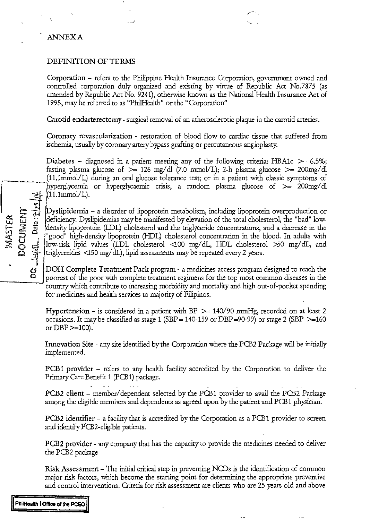### ANNEXA

 $\vec{r}$  =  $\vec{r}$ 

0:::: w .. !.!.J "- <sup>2</sup>,\_ *,;;?:* Om

খ ই

### DEFINITION OF TERMS

Onporation - *refers* to the Philippine Health Insurance Corporation, government owned and controlled corporation duly organized and existing by virtue of Republic Act No.7875 (as amended by Republic Act No. 9241), otherwise known as the National Health Insurance Act of 1995, may be referred to as "Phi!Health" or the "Corporation"

 $\sqrt{2}$ 

Carotid endarterectomy- surgical removal of an atherosclerotic plaque in the carotid arteries.

Coronary revascularization - restoration of blood flow to cardiac tissue that suffered from ischemia, usually by coronary artery bypass grafting or percutaneous angioplasty.

Diabetes - diagnosed in a patient meeting any of the following criteria: HBA1c  $\geq$  6.5%; fasting plasma glucose of >= 126 rng/ dl (7.0 *mmoVL);* 2-h plasma glucose >= 200mg/ dl *r---* (11.1mmoVL) during an oral glucose tolerance test; or in a patient with classic *symptoms* of hyperglycemia or hyperglycaemic crisis, a random plasma glucose of  $\geq$  200mg/dl  $(11.1mmol/L).$ 

> Dyslipidemia - a disorder of lipoprotein metabolism, including lipoprotein overproduction or deficiency. Dyslipidemias may be manifested by elevation of the total cholesterol, the "bad" lowdensity lipoprotein (LDL) cholesterol and the triglyceride concentrations, and a decrease in the "good" high-density lipoprotein (HDL) cholesterol concentration in the blood. In adults with low-risk lipid values (LDL cholesterol <100 rng/ dL, HDL cholesterol >50 rng/ dL, and triglycerides  $\langle$  150 mg/dL), lipid assessments may be repeated every 2 years.

> DOH Complete Treatment Pack program - a medicines access program designed to reach the \_\_\_\_ 0 \_..J poorest of the poor with complete treatment regimens for the top *most* common diseases in the country which contribute to increasing morbidity and mortality and high out-of-pocket spending for medicines and health services to majority of Filipinos.

> Hypertension - is considered in a patient with BP  $\ge$  140/90 mmHg, recorded on at least 2 occasions. It may be classified as stage 1 (SBP = 140-159 or DBP = 90-99) or stage 2 (SBP  $\geq$  160 or  $DBP$   $>=$  100).

> Innovation Site- any site identified by the Corporation where the PCB2 Package will be initially implemented.

> PCB1 provider – refers to any health facility accredited by the Corporation to deliver the Primary Care Benefit 1 (PCB 1) package.

> PCB2 client - member/ dependent selected by the PCB1 provider to avail the PCB2 Package among the eligible members and dependents as agreed upon by the patient and PCB1 physician.

> PCB2 identifier- a facility that is accredited by the Corporation as a PCB 1 provider to *screen*  and identify PCB2-eligible patients.

> PCB2 provider- any company that has the capacity to provide the medicines needed to deliver the PCB2 package

> Risk Assessment- The initial critical step in preventing NCDs is the identification of common major risk factors, which become the starting point for determining the appropriate preventive and control interventions. Criteria for risk assessment are clients who are 25 years old and above

**II PhnHeallh I Otlioe** *ot* **the PCEO !I**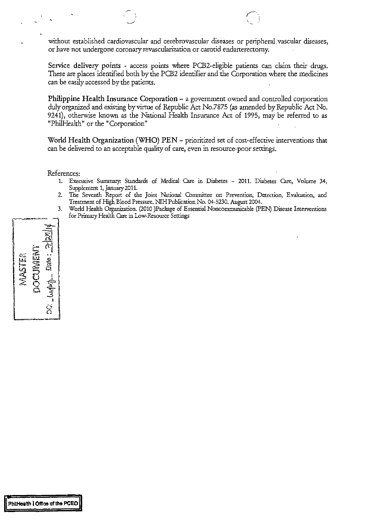without established cardiovascular and cerebrovascular diseases or peripheral vascular diseases, or have not undergone coronary revascularization or carotid endarterectomy.

Service delivery points - access points where PCB2-eligible patients can claim their drugs. These are places identified both by the PCB2 identifier and the Corporation where the medicines can be easily accessed by the patients.

Philippine Health Insurance Corporation - a government owned and controlled corporation duly organized and existing by virtue of Republic Act No.7875 (as amended by Republic Act No. 9241), otherwise known as the National Health Insurance Act of 1995, may be referred to as "PhilHealth" or the "Corporation"

World Health Organization (WHO) PEN- prioritized set of cost-effective interventions that can be delivered to an acceptable quality of care, even in resource-poor settings.

References:

- 1. Executive Summary: Standards of Medical Care in Diabetes 2011. Diabetes Care, Volume 34, Supplement 1, January2011.
- 2. The Seventh Report of the Joint National Committee on Prevention, Detection, Evaluation, and Treatment of High Blood Pressure. NIH Publication No. 04-5230. August 2004.
- 3. World Health Organization. (2010 )Pacltage of Essential Nonconununicable (PEN) Disease Interventions for Primary Health Care in Low-Resource Settings

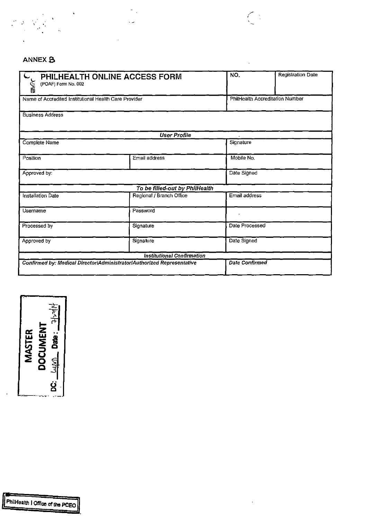

## ANNEX **B**

| (POAF) Form No. 002                                   | PHILHEALTH ONLINE ACCESS FORM                                          | NO.            | Registration Date               |
|-------------------------------------------------------|------------------------------------------------------------------------|----------------|---------------------------------|
| Name of Accredited Institutional Health Care Provider |                                                                        |                | PhilHealth Accreditation Number |
| <b>Business Address</b>                               |                                                                        |                |                                 |
|                                                       | <b>User Profile</b>                                                    |                |                                 |
| Complete Name                                         |                                                                        | Signature      |                                 |
| Position                                              | Email address                                                          | Mobile No.     |                                 |
| Approved by:                                          |                                                                        | Date Signed    |                                 |
|                                                       | To be filled-out by PhilHealth                                         |                |                                 |
| Installation Date                                     | Regional / Branch Office                                               | Email address  |                                 |
| Username                                              | Password                                                               |                |                                 |
| Processed by                                          | Signature                                                              | Date Processed |                                 |
| Approved by                                           | Signature                                                              | Date Signed    |                                 |
|                                                       | <b>Institutional Confirmation</b>                                      |                |                                 |
|                                                       | Confirmed by: Medical Director/Administrator/Authorized Representative | Date Confirmed |                                 |

 $\sum_{i=1}^{n} \frac{1}{i} \sum_{i=1}^{n} \frac{1}{i} \sum_{i=1}^{n} \frac{1}{i} \sum_{i=1}^{n} \frac{1}{i} \sum_{i=1}^{n} \frac{1}{i} \sum_{i=1}^{n} \frac{1}{i} \sum_{i=1}^{n} \frac{1}{i} \sum_{i=1}^{n} \frac{1}{i} \sum_{i=1}^{n} \frac{1}{i} \sum_{i=1}^{n} \frac{1}{i} \sum_{i=1}^{n} \frac{1}{i} \sum_{i=1}^{n} \frac{1}{i} \sum_{i=1}^{n} \frac{1}{i$ 

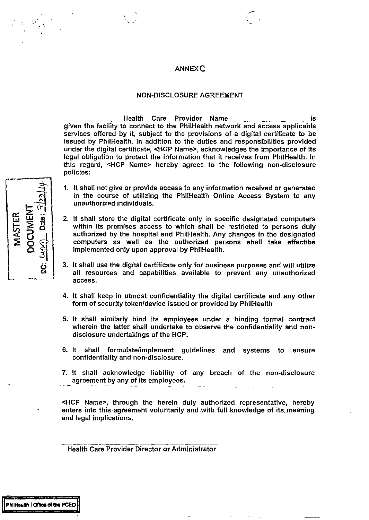### ANNEXC

### NON-DISCLOSURE AGREEMENT

Health Care Provider Name **is** is given the facility to connect to the PhiiHealth network and access applicable services offered by it, subject to the provisions of a digital certificate to be issued by PhiiHealth. In addition to the duties and responsibilities provided under the digital certificate, <HCP Name>, acknowledges the importance of its legal obligation to protect the information that it receives from PhiiHealth. In this regard, <HCP Name> hereby agrees to the following non-disclosure policies:

- 1. It shall not give or provide access to any information received or generated in the course of utilizing the PhiiHealth Online Access System to any unauthorized individuals.
- 2. It shall store the digital certificate only in specific designated computers within its premises access to which shall be restricted to persons duly authorized by the hospital and PhiiHealth. Any changes in the designated computers as well as the authorized persons shall take effect/be implemented only upon approval by PhiiHealth.
- 3. It shall use the digital certificate only for business purposes and will utilize all resources and capabilities available to prevent any unauthorized access.
- 4. It shall keep in utmost confidentiality the digital certificate and any other form of security token/device issued or provided by PhiiHealth
- 5. It shall similarly bind its employees under a binding formal contract wherein the latter shall undertake to observe the confidentiality and nondisclosure undertakings of the HCP.
- 6. It shall formulate/implement guidelines and systems to ensure confidentiality and non-disclosure.
- 7. It shall acknowledge liability of any breach of the non-disclosure agreement by any of its employees.

<HCP Name>, through the herein duly authorized representative, hereby ·enters into this -agreement voluntarily -and -With full.knowledge of .its. meaning and legal implications.

Health Care Provider Director or Administrator

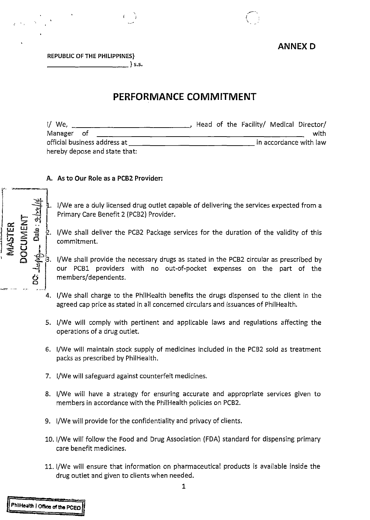

### **ANNEX D**

REPUBLIC OF THE PHILIPPINES} \_\_\_\_\_\_\_\_\_\_ }s.s.

' I

## **PERFORMANCE COMMITMENT**

| I/ We,                        | Head of the Facility/ Medical Director/ |
|-------------------------------|-----------------------------------------|
| Manager of                    | with                                    |
| official business address at  | in accordance with law                  |
| hereby depose and state that: |                                         |

## A. As to Our Role as a PCB2 Provider:  $\begin{array}{c}\nA. \end{array}$

1/We are a duly licensed drug outlet capable of delivering the services expected from a Primary Care Benefit 2 (PCB2) Provider.

1/We shall deliver the PCB2 Package services for the duration of the validity of this commitment.

3. I/We shall provide the necessary drugs as stated in the PCB2 circular as prescribed by our PCB1 providers with no out-of-pocket expenses on the part of the members/dependents.

- -~ ~- .. ~.J 4. 1/We shall charge to the PhiiHealth benefits the drugs dispensed to the client in the agreed cap price as stated in all concerned circulars and issuances of PhilHealth.
	- 5. 1/We will comply with pertinent and applicable laws and regulations affecting the operations of a drug outlet.
	- 6. 1/We will maintain stock supply of medicines included in the PCB2 sold as treatment packs as prescribed by PhiiHealth.
	- 7. 1/We will safeguard against counterfeit medicines.
	- 8. 1/We will have a strategy for ensuring accurate and appropriate services given to members in accordance with the PhiiHealth policies on PCB2.
	- 9. 1/We will provide for the confidentiality and privacy of clients.
	- 10. 1/We will follow the Food and Drug Association (FDA) standard for dispensing primary care benefit medicines.
	- 11. 1/We will ensure that information on pharmaceutical products is available inside the drug outlet and given to clients when needed.



 $\mathbf{r}$ 

**72. 25 ...**<br>ENT<br>*i*s ... 25 ...

 $\begin{array}{c} \n\text{I.E.} \\ \n\text{I.E.} \\ \n\text{I.S.} \\ \n\text{I.S.} \\ \n\end{array}$ 

 $\sum_{i=1}^{\infty} \sum_{j=1}^{\infty}$ 

 $\prod_{i=1}^n\frac{1}{i}$ 

'J~;:,o U I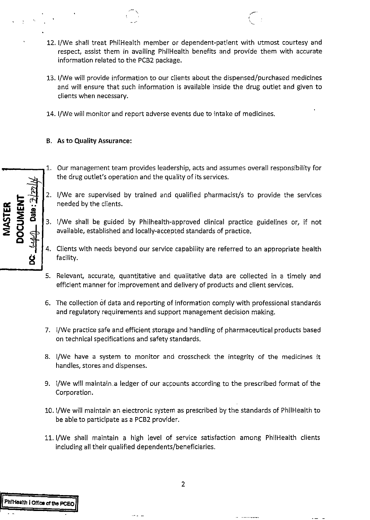12. 1/We shall treat PhiiHealth member or dependent-patient with utmost courtesy and respect, assist them in availing PhilHealth benefits and provide them with accurate information related to the PCB2 package.

' \

- 13. 1/We will provide information to our clients about the dispensed/purchased medicines and will ensure that such information is available inside the drug outlet and given to clients when necessary.
- 14. 1/We will monitor and report adverse events due to intake of medicines.

### **B. As to Quality Assurance:**

- 1. Our management team provides leadership, acts and assumes overall responsibility for the drug outlet's operation and the quality of its services.
- 2. 1/We are supervised by trained and qualified pharmacist/s to provide the services needed by the clients.
- 3. 1/We shall be guided by Philhealth-approved clinical practice guidelines or, if not available, established and locally-accepted standards of practice.
- 4. Clients with needs beyond our service capability are referred to an appropriate health facility.
- 5. Relevant, accurate, quantitative and qualitative data are collected in a timely and efficient manner for improvement and delivery of products and client services.
- 6. The collection of data and reporting of information comply with professional standards and regulatory requirements and support management decision making.
- 7. 1/We practice safe and efficient storage and handling of pharmaceutical products based on technical specifications and safety standards.
- 8. 1/We have a system to monitor and crosscheck the integrity of the medicines it handles, stores and dispenses.
- 9. 1/We will maintain.a ledger of our accounts according to the prescribed format of the Corporation.
- 10. !/We will maintain an electronic system as prescribed by the standards of Phil Health to be able to participate as a PCB2 provider.
- 11. 1/We shall maintain a high level of service satisfaction among PhilHealth clients including all their qualified dependents/beneficiaries.

Date:  $2/$ 

**DCUMENT** 

**VIASTER**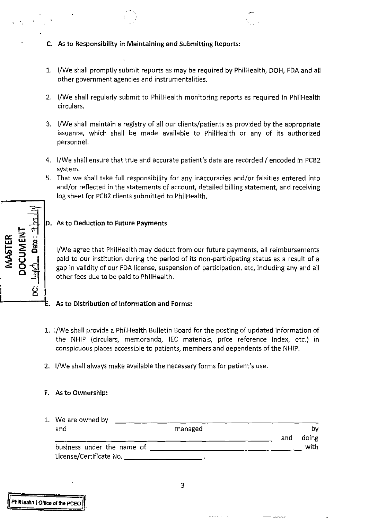- C. As to Responsibility in Maintaining and Submitting Reports:
- 1. 1/We shall promptly submit reports as may be required by PhiiHealth, DOH, FDA and all other government agencies and instrumentalities.
- 2. I/We shall regularly submit to PhilHealth monitoring reports as required in PhilHealth circulars.
- 3. 1/We shall maintain a registry of all our clients/patients as provided by the appropriate issuance, which shall be made available to PhiiHealth or any of its authorized personnel.
- 4. I/We shall ensure that true and accurate patient's data are recorded / encoded in PCB2 system.
- 5. That we shall take full responsibility for any inaccuracies and/or falsities entered into and/or reflected in the statements of account, detailed billing statement, and receiving log sheet for PCB2 clients submitted to PhilHealth.

ती **CUMENT** Date:

### D. As to Deduction to Future Payments

1/We agree that PhiiHealth may deduct from our future payments, all reimbursements paid to our institution during the period of its non-participating status as a result of a gap in validity of our FDA license, suspension of participation, etc, including any and all other fees due to be paid to PhiiHealth.

# L------t. As to Distribution of Information and Forms:

- 1. I/We shall provide a PhilHealth Bulletin Board for the posting of updated information of the NHIP (circulars, memoranda, IEC materials, price reference index, etc.) in conspicuous places accessible to patients, members and dependents ofthe NHIP.
- 2. 1/We shall always make available the necessary forms for patient's use.

### F. As to Ownership:

| 1. We are owned by                                          |         |     |             |
|-------------------------------------------------------------|---------|-----|-------------|
| and                                                         | managed | and | bv<br>doing |
| business under the name of _____<br>License/Certificate No. |         |     | with.       |

PhilHaalth I Office of the PCEO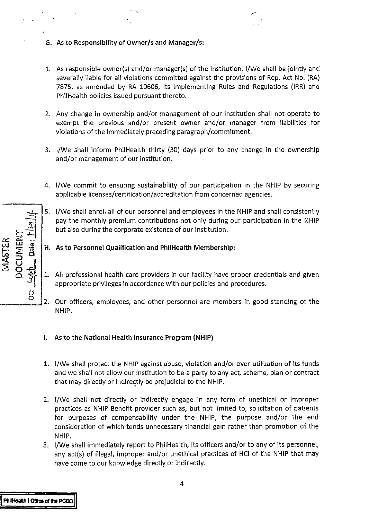- **G. As to Responsibility of owner/sand Manager/s:**
- 1. As responsible owner(s) and/or manager(s) of the institution, 1/We shall be jointly and severally liable for all violations committed against the provisions of Rep. Act No. (RA) 7875, as amended by RA 10606, its Implementing Rules and Regulations (IRR) and Phil Health policies issued pursuant thereto.
- 2. Any change in ownership and/or management of our institution shall not operate to exempt the previous and/or present owner and/or manager from liabilities for violations of the immediately preceding paragraph/commitment.
- 3. 1/We shall inform PhiiHealth thirty (30) days prior to any change in the ownership and/or management of our institution.
- 4. 1/We commit to ensuring sustainability of our participation in the NHIP by securing applicable licenses/certification/accreditation from concerned agencies.
- 5. 1/We shall enroll all of our personnel and employees in the NHIP and shall consistently pay the monthly premium contributions not only during our participation in the NHIP but also during the corporate existence of our Institution .
- **H. As to Personnel Qualification and Phil Health Membership:**
- 1. All professional health care providers in our facility have proper credentials and given appropriate privileges in accordance with our policies and procedures.
- 2. Our officers, employees, and other personnel are members in good standing of the NHIP.
- **I. As to the National Health Insurance Program (NHIP)**
- 1. 1/We shall protect the NHIP against abuse, violation and/or over-utilization of its funds and we shall not allow our institution to be a party to any act, scheme, plan or contract that may directly or indirectly be prejudicial to the NHIP.
- 2. 1/We shall not directly or indirectly engage in any form of unethical or improper practices as NHIP Benefit provider such as, but not limited to, solicitation of patients for purposes of compensability under the NHIP, the purpose and/or the end consideration of which tends unnecessary financial gain rather than promotion of the NHIP.
- 3. 1/We shall immediately report to PhiiHealth, its officers and/or to any of its personnel, any act(s) of illegal, improper and/or unethical practices of HCI of the NHIP that may have come to our knowledge directly or indirectly.

 $-1$ ..,. r~ ...... *X* "'- .. u.l **UJ** <I>  $\Xi$   $\Xi$  $\left\| \begin{matrix} 1 & 0 & 0 \\ 0 & 1 & 0 \\ 0 & 0 & 0 \\ 0 & 0 & 0 \\ 0 & 0 & 0 \\ 0 & 0 & 0 \\ 0 & 0 & 0 \\ 0 & 0 & 0 \\ 0 & 0 & 0 \\ 0 & 0 & 0 \\ 0 & 0 & 0 \\ 0 & 0 & 0 \\ 0 & 0 & 0 \\ 0 & 0 & 0 \\ 0 & 0 & 0 \\ 0 & 0 & 0 \\ 0 & 0 & 0 \\ 0 & 0 & 0 \\ 0 & 0 & 0 & 0 \\ 0 & 0 & 0 & 0 \\ 0 & 0 & 0 & 0 \\ 0 & 0 & 0 & 0 \\$  $\frac{3}{2}$   $\Big\}$  $\dot{\mathcal{Q}}$ **0**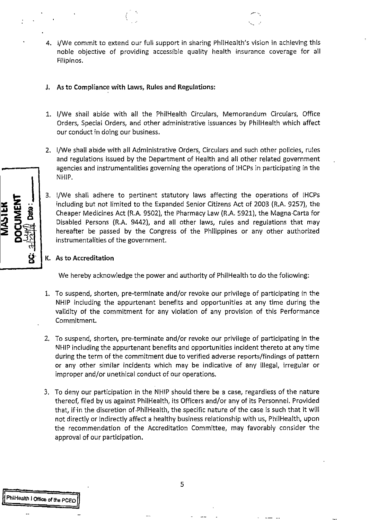- 4. 1/We commit to extend our full support in sharing PhiiHealth's vision in achieving this noble objective of providing accessible quality health insurance coverage for all Filipinos.
- J. As to Compliance with Laws, Rules and Regulations:
- 1. 1/We shall abide with all the PhiiHealth Circulars, Memorandum Circulars, Office Orders, Special Orders, and other administrative issuances by PhiiHealth which affect our conduct in doing our business.
- 2. 1/We shall abide with all Administrative Orders, Circulars and such other policies, rules and regulations issued by the Department of Health and all other related government agencies and instrumentalities governing the operations of IHCPs in participating in the NHIP.
- 3. 1/We shall adhere to pertinent statutory laws affecting the operations of IHCPs including but not limited to the Expanded Senior Citizens Act of 2003 (R.A. 9257), the Cheaper Medicines Act (R.A. 9502). the Pharmacy Law (R.A. 5921). the Magna-Carta for Disabled Persons (R.A. 9442), and all other laws, rules and regulations that may hereafter be passed by the Congress of the Philippines or any other authorized instrumentalities of the government.

### K. As to Accreditation

We hereby acknowledge the power and authority of PhilHealth to do the following:

- 1. To suspend, shorten, pre-terminate and/or revoke our privilege of participating in the NHIP including the appurtenant benefits and opportunities at any time during the validity of the commitment for any violation of any provision of this Performance Commitment.
- 2. To suspend, shorten, pre-terminate and/or revoke our privilege of participating in the NHIP including the appurtenant benefits and opportunities incident thereto at any time during the term of the commitment due to verified adverse reports/findings of pattern or any other similar incidents which may be indicative of any illegal, irregular or improper and/or unethical conduct of our operations.
- 3. To deny our participation in the NHIP should there be a case, regardless of the nature thereof, filed by us against PhilHealth, its Officers and/or any of its Personnel. Provided that, if-in the discretion of-PhiiHealth, the specific nature of the case is such that it will not directly or indirectly affect a healthy business relationship with us, PhilHealth, upon the recommendation of the Accreditation Committee, may favorably consider the approval of our participation.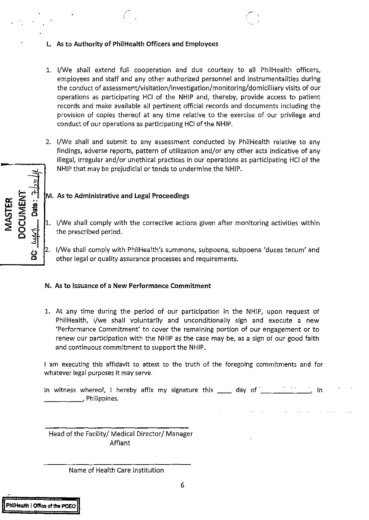- **L. As to Authority of Phil Health Officers and Employees**
- 1. 1/We shall extend full cooperation and due courtesy to all PhiiHealth officers, employees and staff and any other authorized personnel and instrumentalities during the conduct of assessment/visitation/investigation/monitoring/domicilliary visits of our operations as participating HCI of the NHIP and, thereby, provide access to patient records and make available all pertinent official records and documents including the provision of copies thereof at any time relative to the exercise of our privilege and conduct of our operations as participating HCI of the NHIP.
- $\frac{1}{\sqrt{|\mathcal{I}|}^{2}}$ 2. !/We shall and submit to any assessment conducted by PhiiHealth relative to any findings, adverse reports, pattern of utilization and/or any other acts indicative of any illegal, irregular and/or unethical practices in our operations as participating HCI of the NHIP that may be prejudicial or tends to undermine the NHIP.

- **4** M. As to Administrative and Legal Proceedings<br> **2 a**<br> **2 a**<br> **1 a**<br> **1 a**<br> **1 a**<br> **1 a**<br> **1 a**<br> **1 a**<br> **1 a**<br> **1 a**<br> **1 a**<br> **1 a**<br> **1 a**<br> **1 a**<br> **1 a**<br> **1 a**<br> **1 a**<br> **1 a**<br> **1 a**<br> 1. 1/We shall comply with the corrective actions given after monitoring activities within the prescribed period.
- <sup>2</sup><br>2. I/We shall comply with PhilHealth's summons, subpoena, subpoena 'duces tecum' and<br>other legal or quality assurance processes and requirements.

### **N. As to Issuance of a New Performance Commitment**

1. At any time during the period of our participation in the NHIP, upon request of Phi!Health, 1/we shall voluntarily and unconditionally sign and execute a new 'Performance Commitment' to cover the remaining portion of our engagement or to renew our participation with the NHIP as the case may be, as a sign of our good faith and continuous commitment to support the NHIP.

I am executing this affidavit to attest to the truth of the foregoing commitments and for whatever legal purposes it may serve.

In witness whereof, I hereby affix my signature this  $\rule{1em}{0.15mm}$  day of  $\rule{1.15mm}{0.15mm}$ m withess whereor, m in

Head of the Facility/ Medical Director/ Manager Affiant

### Name of Health Care Institution

**5TE**<br>XX<br>Date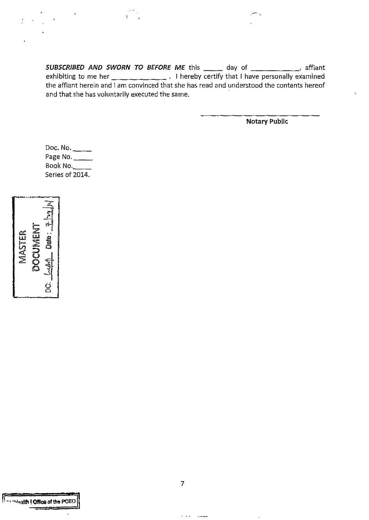**SUBSCRIBED AND SWORN TO BEFORE ME** this \_\_\_\_\_ day of \_\_\_\_\_\_\_\_\_\_\_, affiant exhibiting to me her \_\_\_\_\_\_\_\_\_\_\_\_\_\_\_. I hereby certify that I have personally examined the affiant herein and I am convinced that she has read and understood the contents hereof and that she has voluntarily executed the same.

**Notary Public** 

Doc. No. Page No. \_\_\_\_\_ Book No.\_ Series of 2014.

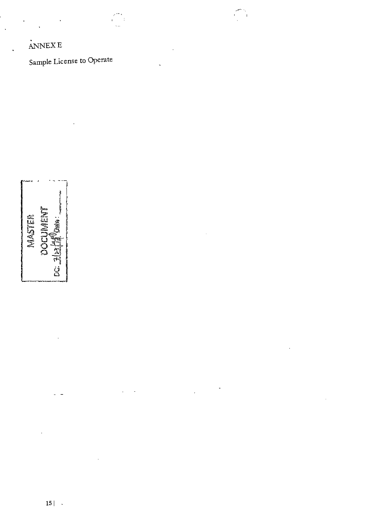### .<br>.<br>. ANNEXE

Sample License to Operate

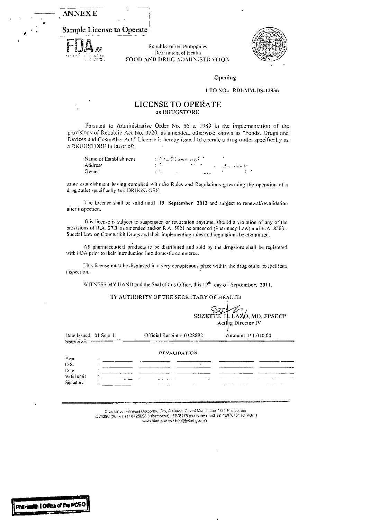**ANNEXE** 

I Sample License to Operate

**Phil·Hundin I Office of the PCEO** 

 $\begin{array}{ll}\nF_{\mathbf{A}} & \text{Replace} \\
F_{\mathbf{B}} & \text{Replace} \\
F_{\mathbf{B}} & \text{Replace} \\
F_{\mathbf{B}} & \text{Replace} \\
F_{\mathbf{B}} & \text{Prove} \\
F_{\mathbf{B}} & \text{Prove} \\
F_{\mathbf{B}} & \text{Prove} \\
F_{\mathbf{B}} & \text{Prove} \\
F_{\mathbf{B}} & \text{Prove} \\
F_{\mathbf{B}} & \text{Prove} \\
F_{\mathbf{B}} & \text{Prove} \\
F_{\mathbf{B}} & \text{Prove} \\
F_{\mathbf{B}} & \text{Prove} \\
F_{\mathbf{B}}$ FOOD AND DRUG ADMINISTR VIION



Opening

### LTO NO.: RDI-MM-DS-12936

## LICENSE TO OPERATE as DRUGSTORE

Pursuant to Administrative Order No. 56 s. 1989 in the implementation of the provisions of Republic Act No. 3720, as amended, otherwise known as "Foods. Drugs and Devices and Cosmetics Act." License is hereby issued to operate a drug outlet specifically as a DRUGSTORE in favor of:

| Name of Establishment |  | (1) 不仁 愁 我不 (4) [1] |  |      |  |                |  |
|-----------------------|--|---------------------|--|------|--|----------------|--|
| Address               |  |                     |  |      |  | . – Brez Gaade |  |
| Owner                 |  | $\overline{a}$      |  | $-1$ |  |                |  |

same establishment having complied with the Rules and Regulations governing the operation of a drug outlet specifically as a DRUGSTORE.

The License shall be valid until 19 September 2012 and subject to renewal/revalidation after inspection.

fhis license is subject to suspension or revocation anytime. should n \ iolation of any of the provisions of R.A. 3720 as amended and/or R.A. 5921 as amended (Pharmacy Law) and R.A. 8203 -Special Law on Counterfeit Drugs and their implementing rules and regulations be committed.

All pharmaceutical products to be distributed and sold by the drugstore shall be registered with FDA prior to their introduction into domestic commerce.

This license must be displayed in a very conspicuous place within the drug omlet to facilitate inspection.

WITNESS MY HAND and the Seal of this Office, this  $19<sup>th</sup>$  day of September, 2011.

### BY AUTHORITY OF THE SECRETARY Of HEALTH

|                         |                           | SUZETTE II. LAZO, MD. FPSECP<br>Acting Director IV |
|-------------------------|---------------------------|----------------------------------------------------|
| Date Issued: 01 Sept 11 | Official Receipt: 0328892 | Amount: P 1.010.00                                 |
| <del>55G ਦਾ ਨਸ</del>    |                           |                                                    |
|                         | <b>REVALIDATION</b>       |                                                    |
| Year                    |                           |                                                    |
| OR.                     |                           |                                                    |
| Date                    |                           |                                                    |
| Valid until             |                           |                                                    |
| Signature               |                           |                                                    |

Civic Dnye: Filinvest Corporate City, Alabang: City of Muntinrippa. 1781 Philippines<br>| 1904-190751 (director) 18070751 (director) 18070751 (directorJ www.biad.gov.ph / bfad@ofad.gov.ph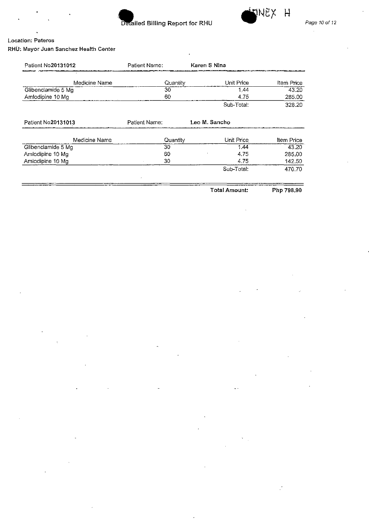



 $\overline{a}$ 

### **Location: Pateros**

**RHU: Mayor Juan Sanchez Health Center** 

| Patient No20131012 | Patient Name: | Karen S Nina  |            |
|--------------------|---------------|---------------|------------|
| Medicine Name      | Quantity      | Unit Price    | Item Price |
| Glibenclamide 5 Mg | 30            | 1.44          | 43.20      |
| Amlodipine 10 Mg   | 60            | 4.75          | 285.00     |
|                    |               | Sub-Total:    | 328.20     |
| Patient No20131013 | Patient Name: | Leo M. Sancho |            |
| Medicine Name      | Quantity      | Unit Price    | ltem Price |
| Glibenclamide 5 Mg | 30            | 1.44          | 43.20      |
| Amlodipine 10 Mg   | 60            | 4.75          | 285.00     |
| Amlodipine 10 Mg   | 30            | 4.75          | 142.50     |
|                    |               | Sub-Total:    | 470.70     |
|                    |               | Total Amount: | Php 798.90 |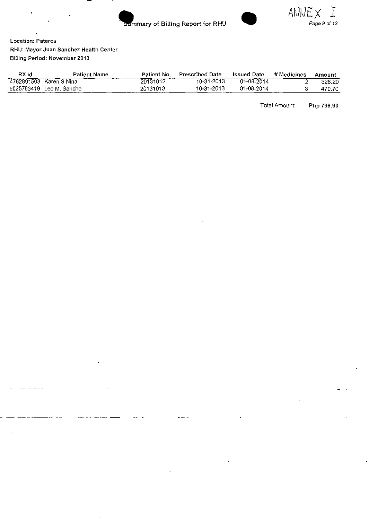



**Location: Pateros RHU: Mayor Juan Sanchez Health Center**  Billing Period: November 2013

| RX Id | <b>Patient Name</b>      | Patient No. | <b>Prescribed Date</b> | <b>Issued Date</b> | # Medicines | Amount |
|-------|--------------------------|-------------|------------------------|--------------------|-------------|--------|
|       | 4762891503 Karen S Nina  | 20131012    | 10-31-2013             | 01-08-2014         |             | 328.20 |
|       | 6025783419 Leo M. Sancho | 20131013    | 10-31-2013             | 01-08-2014         |             | 470.70 |

Total Amount: Php 798.90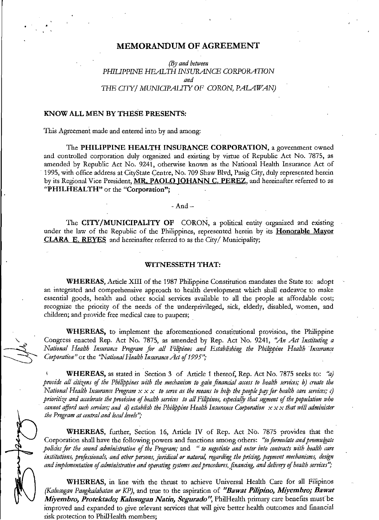### **MEMORANDUM OF AGREEMENT**

(By *and between*  PHILIPPINE HEALTH INSURANCE CORPORATION *and mE CITY/ MUNICIPAUTYOF* CORON, *PALAWAN)* 

### **KNOW ALL MEN BY THESE PRESENTS:**

This Agreement made and entered into by and among:

The **PHILIPPINE HEALTH INSURANCE CORPORATION,** a government owned and controlled corporation duly organized and existing by virtue of Republic Act No. 7875, as amended by Republic Act No. 9241, otherwise known as the National Health Insurance Act of 1995, with office address at CityState Centre, No. 709 Shaw Blvd, Pasig City, duly represented herein by its Regional Vice President, MR. PAOLO JOHANN C. PEREZ, and hereinafter referred to as **"PHILHEALTH"** or the **"Corporation";** 

 $-$ And $-$ 

The **CITY/MUNICIPALITY OF** CORON, a political entity organized and existing under the law of the Republic of the Philippines, represented herein by its **Honorable Mayor CLARA E. REYES** and hereinafter referred to as the City/ Municipality;

### **WITNESSETH THAT:**

**WHEREAS,** Article XIII of the 1987 Philippine Constitution mandates the State to: adopt an integrated and comprehensive approach to health development which shall endeavor to make essential goods, health and other social services available to all the people at affordable cost; recognize the priority of the needs of the underprivileged, sick, elderly, disabled, women, and children; and provide free medical care to paupers;

WHEREAS, to implement the aforementioned constitutional provision, the Philippine Congress enacted Rep. Act No. 7875, as amended by Rep. Act No. 9241, *",4n Act Instituting a National Health Insurance Program for all Filipinos and Establishing the Philippine Health 1nsurance Corporation*" or the "National Health Insurance Act of 1995";

**WHEREAS,** as stated in Section 3 of Article 1 thereof, Rep. Act No. 7875 seeks to: "a) provide all citizens of the Philippines with the mechanism to gain financial access to health services; b) create the *National Health Insurance Program*  $x \times x$  *to serve as the means to help the people pay for health care services; c) prioritize and accelerate the provision of health services to all Filipinos, especially that segment of the population who cannot afford such services; and d) establish the Philippine Health Insurance Corporation*  $x \times x$  *that will administer the Program at central and local levels"*;

WHEREAS, further, Section 16, Article IV of Rep. Act No. 7875 provides that the Corporation shall have the following powers and functions among others: *"to formulate and promulgate policies for the sound administration of the Program; and " to negotiate and enter into contracts with health care* institutions, professionals, and other persons, juridical or natural, regarding the pricing, payment mechanisms, design and *implementation of administrative and operating systems and procedures, financing, and delivery of health services"*;

**WHEREAS,** in line with the thrust to achieve Universal Health Care for all Filipinos *(Kalusugan Pangkalahatan or KP), and true to the aspiration of "Bawat Pilipino, Miyembro; Bawat Miyembro, Protektado; Kalusugan Natin, Segurado''*, PhilHealth primary care benefits must be improved and expanded to give relevant services that will give better health outcomes and financial risk protection to Phi!Health members;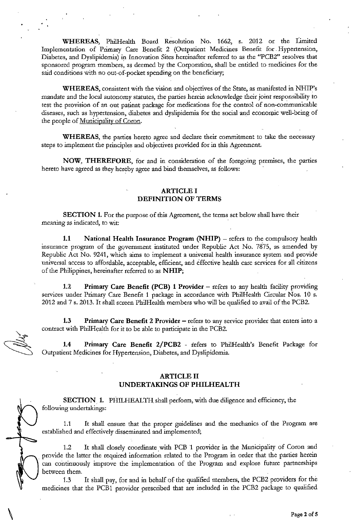WHEREAS, PhilHealth Board Resolution No. 1662, s. 2012 or the Limited Implementation of Primary Care Benefit 2 (Outpatient Medicines Benefit for. Hypertension, Diabetes, and Dyslipidemia) in Innovation Sites hereinafter referred to as the "PCB2" resolves that sponsored program members, as deemed by the Corporation, shall be entitled to medicines for the said conditions with no out-of-pocket spending on the beneficiary;

WHEREAS, consistent with the vision and objectives of the State, as manifested in NHIP's mandate and the local autonomy statutes, the parties herein acknowledge their joint responsibility to test the provision of an out patient package for medications for the control of non-communicable diseases, such as hypertension, diabetes and dyslipidemia for the social and economic well-being of the people of Municipality of Coron.

WHEREAS, the parties hereto agree and declare their commitment to take the necessary steps to implement the principles and objectives provided for in this Agreement.

NOW, THEREFORE, for and in consideration of the foregoing premises, the parties hereto have agreed as they hereby agree and bind themselves, as follows:

### ARTICLE I DEFINITION OF TERMS

SECTION 1. For the purpose of this Agreement, the terms set below shall have their meaning as indicated, to wit:

1.1 National Health Insurance Program (NHIP) - refers to the compulsory health insurance program of the government instituted under Republic Act No. 7875, as amended by Republic Act No. 9241, which aims to implement a universal health insurance system and provide universal access to affordable, acceptable, efficient, and effective health care services for all citizens of the Philippines, hereinafter referred to as NHIP;

1.2 Primary Care Benefit (PCB) 1 Provider - refers to any health facility providing services under Primary Care Benefit 1 package in accordance with PhilHealth Circular Nos. 10 s. 2012 and 7 s. 2013. It shall screen Pbi!Health members who will be qualified to avail of the PCB2.

1.3 Primary Care Benefit 2 Provider – refers to any service provider that enters into a contract with Phi!Health for it to be able to participate in the PCB2.

1.4 Primary Care Benefit 2/PCB2 - refers to Phi!Health's Benefit Package for Outpatient Medicines for Hypertension, Diabetes, and Dyslipidemia.

### ARTICLE II UNDERTAKINGS OF PHILHEALTH

SECTION 1. PHILHEALTH shall perform, with due diligence and efficiency, the following undertakings:

1.1 It shall ensure that the proper guidelines and the mechanics of the Program are established and effectively disseminated and implemented;

1.2 It shall closely coordinate with PCB 1 provider in the Municipality of Coron and provide the latter the required information related to the Program in order that the parties herein can continuously improve the implementation of the Program and explore future partnerships between them.

1.3 It shall. pay, for and in behalf of the qualified members, the PCBZ providers for the medicines that the PCB1 provider prescribed that are included in the PCB2 package to qualified.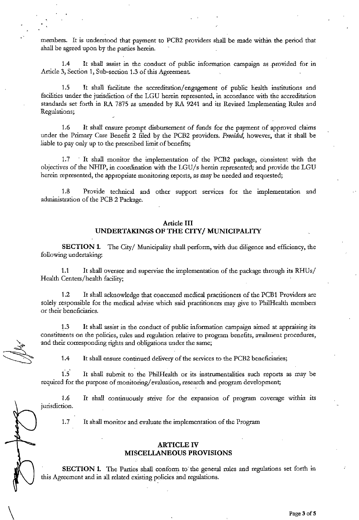members. It is understood that payment to PCB2 providers shall be made within the period that shall be agreed upon by the parties herein.

1.4 It shall assist in the conduct of public information campaign as .provided for in Article 3, Section 1, Sub-section 1.3 of this Agreement.

1.5 It shall facilitate the accreditation/ engagement of public health institutions and facilities under the jurisdiction of the LGU herein represented, in accordance with the accreditation standards set forth in RA 7875 as amended by RA 9241 and its Revised Implementing Rules and Regulations;

1.6 It shall ensure prompt disbursement of funds for the payment of approved claims under the Primary Care Benefit 2 filed by the PCB2 providers. *Provided,* however, that it shall be liable to pay only up to the prescribed limit of benefits;

1.7 · It shall monitor the implementation of the PCB2 package, consistent with the objectives of the NHIP, in coordination with the LGU/s herein represented; and provide the LGU herein represented, the appropriate monitoring reports, as may be needed and requested;

1.8 Provide technical and other support services for the implementation and administration of the PCB 2 Package.

### **Article III UNDERTAKINGS OF THE CITY/ MUNICIPALITY**

**SECTION 1.** The City/ Municipality shall perform, with due diligence and efficiency, the following undertaking:

1.1 It shall oversee and supervise the implementation of the package through its RHUs/ Health Centers/health facility;

1.2 It shall acknowledge that concerned medical practitioners of the PCB1 Providers are solely responsible for the medical advise which said practitioners may give to PhilHealth members or their beneficiaries.

1.3 It shall assist in the conduct of public information campaign aimed at appraising its constituents on the policies, rules and regulation relative to program benefits, avaihnent procedures, and their corresponding rights and obligations under the same;

1.4 It shall ensure continued delivery of the services to the PCB2 beneficiaries;

1.5 It shall submit to the PhilHealth or its instrumentalities such reports as may be required for the purpose of monitoring/ evaluation, research and program development;

1.6 It shall continuously strive for the expansion of program coverage within its jurisdiction.

1.7 It shall monitor and evaluate the implementation of the Program

 $\setminus$ 

### **ARTICLE IV MISCELLANEOUS PROVISIONS**

**SECTION 1.** The Parties shall conform to the general rules and regulations set forth in this Agreement and in all related existing policies and regulations.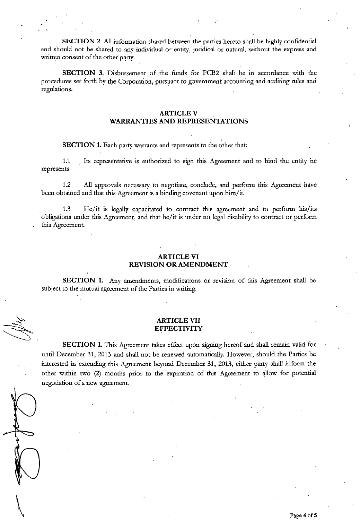**SECTION** 2. All information shared between the parties hereto shall be highly confidential and should not be shared to any individual or entity, juridical or natural, without the express and written consent of the other party.

**SECTION 3.** Disbursement of the funds for PCB2 shall be in accordance with the procedures set forth by the Corporation, pursuant to government accounting and auditing rules and regulations.

### **ARTICLEV**

### **WARRANTIES AND REPRESENTATIONS**

**SECTION 1.** Each party warrants and represents to the other that:

1.1 Its representative is authorized to sign this Agreement and to bind the entity he represents.

1.2 All approvals necessary to negotiate, conclude, and perform this Agreement have been obtained and that this Agreement is a binding covenant upon him/it.

. 1.3 He/it is legally capacitated to contract this agreement and to perform his/its obligations under this Agreement, and that he/it is under no legal disability to contract or perform this Agreement.

### **ARTICLE VI REVISION OR AMENDMENT**

**SECTION 1.** Any amendments, modifications or revision of this Agreement shall be subject to the mutual agreement of the Parties in writing.

### **ARTICLE VII EFFECTIVITY**

**SECTION 1.** This Agreement takes effect upon signing hereof and shall remain valid for until December 31, 2013 and shall not be renewed automatically. However, should the Parties be interested in extending this Agreement beyond December 31, 2013, either party shall inform the other within two (2) months prior to the expiration of this Agreement to allow for potential negotiation of a new agreement.

 $\begin{pmatrix} 1 & 1 \\ 1 & 1 \end{pmatrix}$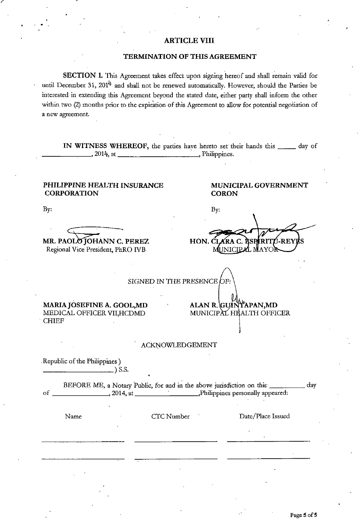### **ARTICLE VIII**

### **TERMINATION OF THIS AGREEMENT**

**SECTION 1.** This Agreement takes effect upon signing hereof and shall remain valid for until December 31,  $201^4$  and shall not be renewed automatically. However, should the Parties be interested in extending this Agreement beyond the stated date, either party shall inform the other within two (2) months prior to the expiration of this Agreement to allow for potential negotiation of a new agreement.

**IN WITNESS WHEREOF,** the parties have hereto set their hands this \_\_\_\_\_ day of  $, 2014, at \_\_\_\_\_\_\_\_$ . Philippines.

 $By:$ 

HON. CI

### **PHILIPPINE HEALTH INSURANCE CORPORATION**

**MUNICIPAL GOVERNMENT CO RON** 

AL MAYOR

J-REYE

By:

 $\subset$ **MR. PAOLO JOHANN C. PEREZ** 

Regional Vice President, PhRO IVB

SIGNED IN THE PRESENCE  $DF:$ 

ALAN R. GUINTAPAN, MD MUNICIPAL HEALTH OFFICER

MUNICIP

**MARIAJOSEFINE A. GOOL,MD**  MEDICAL OFFICER VII,HCDMD . CHIEF

ACKNOWLEDGEMENT

.Republic of the Philippines) \_\_\_\_\_\_\_ ) s.s.

BEFORE ME, a Notary Public, for and in the above jurisdiction on this \_\_\_\_\_\_\_\_\_ day of \_\_\_\_\_\_\_ , 2014, at Philippines personally appeared:

Name CTC Number Date/Place Issued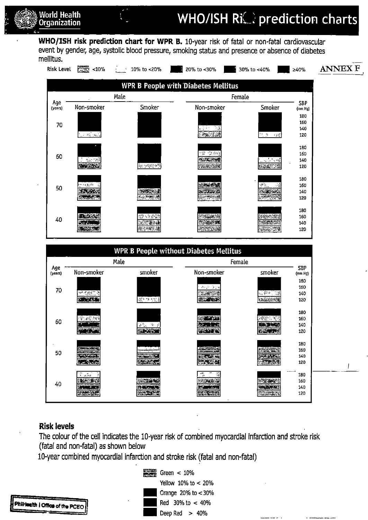

1224

rny Jacques

124.34

WHO/ISH risk prediction chart for WPR B. 10-year risk of fatal or non-fatal cardiovascular event by gender, age, systolic blood pressure, smoking status and presence or absence of diabetes mellitus.



### Risk levels

40

**ILENS** 

不安 法票

~

 $\frac{1}{2}$ .

Organization

The colour of the cell indicates the 10-year risk of combined myocardial infarction and stroke risk (fatal and non-fatal) as shown below

أشق هندي

新闻条件

10-year combined myocardial infarction and stroke risk (fatal and non-fatal)

**ALCOHOL: AND** 

移動 キャイ

**All Seconds** 



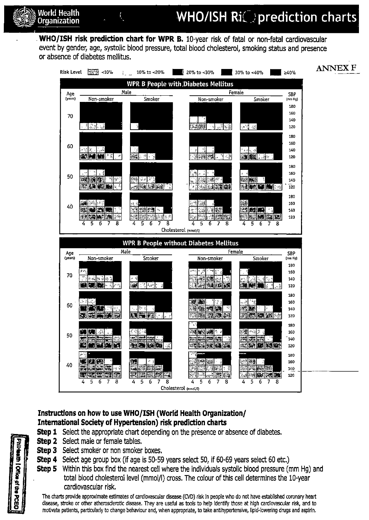## World Health  $\overline{N}$  **MHO/ISH RiC** are prediction charts

WHO/ISH risk prediction chart for WPR B. 10-year risk of fatal or non-fatal cardiovascular event by gender, age, systolic blood pressure, total blood cholesterol, smoking status and presence or absence of diabetes mellitus.



### Instructions on how to use WHO/ISH (World Health Organization/ International Society of Hypertension) risk prediction charts

- **Step 1** Select the appropriate chart depending on the presence or absence of diabetes.
- **Step 2** Select male or female tables.
- Step 3 Select smoker or non smoker boxes.
- Step 4 Select age group box (if age is 50-59 years select 50, if 60-69 years select 60 etc.)
- Step 5 Within this box find the nearest cell where the individuals systolic blood pressure (mm Hg) and total blood cholesterol level (mmol/1) cross. The colour of this cell determines the 10-year cardiovascular risk.

The charts provide approximate estimates of cardiovascular disease (CVD) risk In people who do not have established coronary heart disease, stroke or other atherosclerotic disease. They are useful as tools to help identify those at high cardiovascular risk, and to motivate patients, particularly to change behaviour and, when appropriate, to take antihypertensive, lipid-lowering drugs and aspirin.

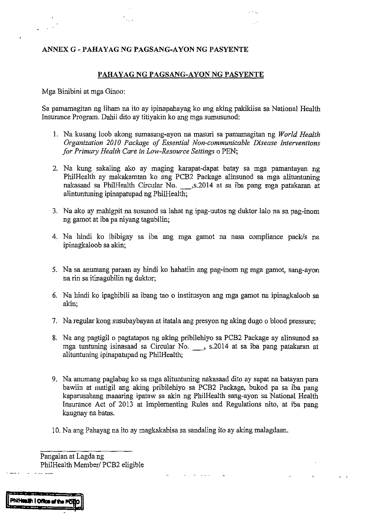### **ANNEX G- PAHAYAG NG PAGSANG-AYON NG PASYENTE**

### PAHAYAG NG PAGSANG-AYON NG PASYENTE

Mga Binibini at mga Ginoo:

Sa pamamagitan ng liham na ito ay ipinapahayag ko ang aking pakikiisa sa National Health Insurance Program. Dahil dito ay titiyakin ko ang mga sumusunod:

- I. Na kusang loob akong sumasang-ayon na masuri sa pamamagitan ng *World Health Organization 2010 Package of Essential Non-communicable Disease Interventions for Primary Health Care in Low-Resource Settings o PEN;*
- 2. Na kung sakaling ako ay maging karapat-dapat batay sa mga pamantayan ng Phi!Health ay makakamtan ko ang PCB2 Package alinsunod sa mga alituntuning nakasaad sa PhilHealth Circular No. \_\_\_,s.2014 at sa iba pang mga patakaran at alintuntuning ipinapatupad ng Phi!Health;
- 3. Na ako ay mahigpit na susunod sa lahat ng ipag-uutos ng duktor lalo nasa pag-inom ng gamot at iba pa niyang tagubilin;
- 4. Na hindi ko ibibigay sa iba ang mga gamot na nasa compliance pack/s na ipinagkaloob sa akin;
- 5. Nasa anumang paraan ay hindi ko hahatiin ang pag-inom ng mga gamot, sang-ayon na rin sa itinagubilin ng duktor;
- 6. Na hindi ko ipagbibili sa ibang tao o institusyon ang mga gamot na ipinagkaloob sa akin;
- 7. Na regular kong susubaybayan at itatala ang presyon ng aking dugo o blood pressure;
- 8. Na ang pagtigil o pagtatapos ng aking pribilehiyo sa PCB2 Package ay alinsunod sa mga tuntuning isinasaad sa Circular No. \_, s.2014 at sa iba pang patakaran at alituntuning ipinapatupad ng Phi!Health;
- 9. Na anumang paglabag ko sa mga alituntuning nakasaad dito ay sapat na batayan para bawiin at matigil ang aking pribilehiyo sa PCB2 Package, bukod pa sa iba pang kaparusahang maaaring ipataw sa akin ng PhilHealth sang-ayon sa National Health Insurance Act of 2013 at Implementing Rules and Regulations nito, at iba pang kaugnay na batas.
- 10. Na ang Pahayag na ito ay magkakabisa sa sandaling ito ay aking malagdaan.

Pangalan at Lagda ng Phi!Health Member/ PCB2 eligible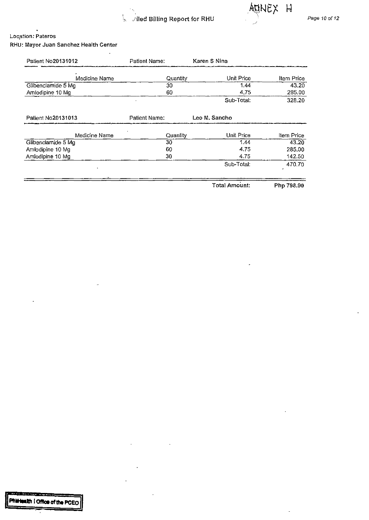



 $\overline{\phantom{a}}$ 

### **Loc,ation: Pateros**  RHU: Mayor Juan Sanchez Health Center

 $\ddot{\phantom{a}}$ 

| Patient No20131012 | Patient Name:   | Karen S Nina  |            |
|--------------------|-----------------|---------------|------------|
| Medicine Name      | <b>Quantity</b> | Unit Price    | Item Price |
| Glibenclamide 5 Mg | 30              | 1.44          | 43.20      |
| Amlodipine 10 Mg   | 60              | 4.75          | 285.00     |
|                    |                 | Sub-Total:    | 328.20     |
| Patient No20131013 | Patient Name:   | Leo M. Sancho |            |
| Medicine Name      | Quantity        | Unit Price    | Item Price |
| Glibenclamide 5 Mg | 30              | 1.44          | 43.20      |
| Amlodipine 10 Mg   | 60              | 4.75          | 285.00     |
| Amlodipine 10 Mg   | 30              | 4.75          | 142.50     |
|                    |                 | Sub-Total.    | 470.70     |
|                    |                 | Total Amount: | Php 798.90 |

**The Commercial**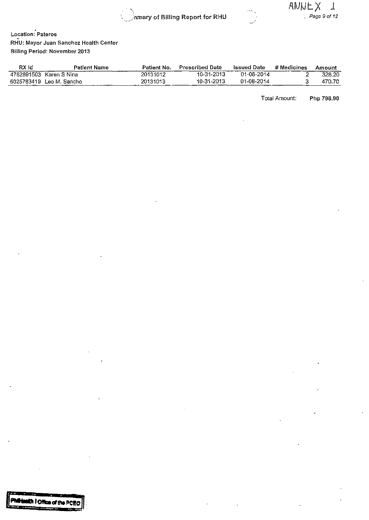$\mathcal{L}$ . 'o•'• 'nmary of Billing Report for RHU



\_,/

**Location: Pateros**  RHU: Mayor Juan Sanchez Health Center Billing Period: November 2013

| RX Id | <b>Patient Name</b>      | Patient No. | <b>Prescribed Date</b> | <b>Issued Date</b> | # Medicines | Amount |
|-------|--------------------------|-------------|------------------------|--------------------|-------------|--------|
|       | 4762891503 Karen S Nina  | 20131012    | 10-31-2013             | 01-08-2014         |             | 328.20 |
|       | 6025783419 Leo M. Sancho | 20131013    | 10-31-2013             | 01-08-2014         |             | 470.70 |

Total Amount: Php 798.90